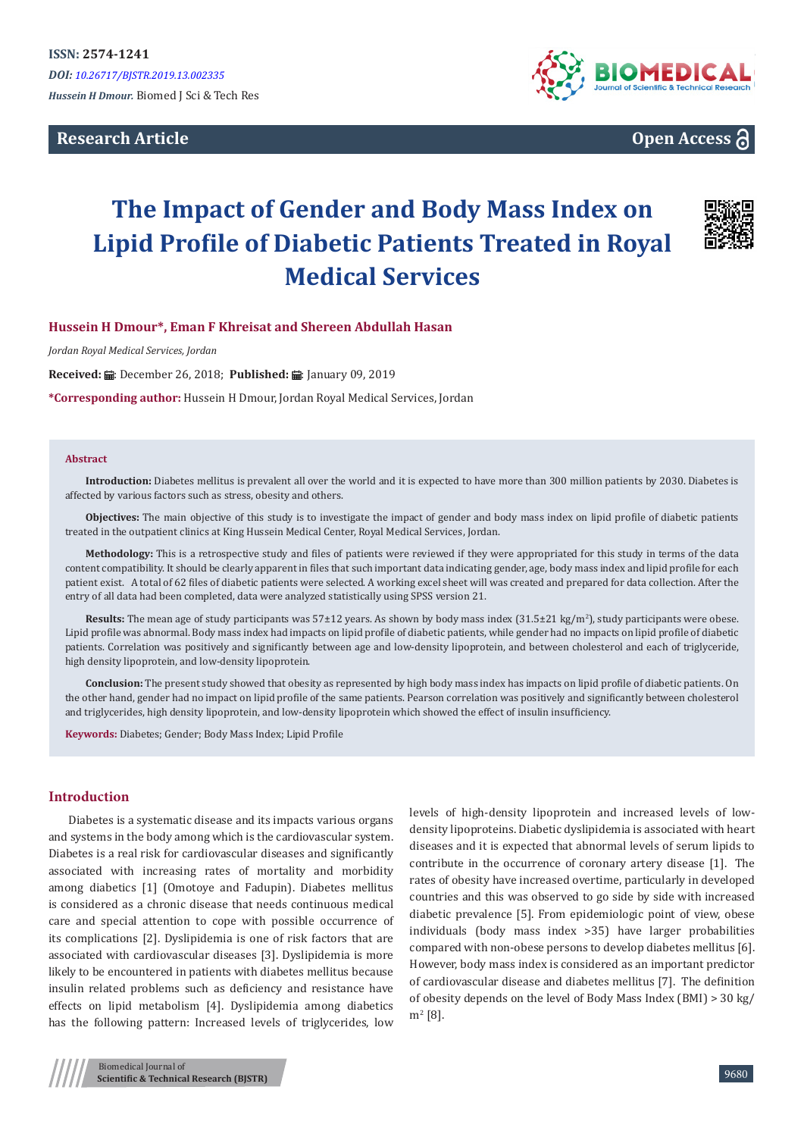**Research Article**





# **The Impact of Gender and Body Mass Index on Lipid Profile of Diabetic Patients Treated in Royal Medical Services**



## **Hussein H Dmour\*, Eman F Khreisat and Shereen Abdullah Hasan**

*Jordan Royal Medical Services, Jordan*

**Received:** .: December 26, 2018; Published: .: January 09, 2019

**\*Corresponding author:** Hussein H Dmour, Jordan Royal Medical Services, Jordan

#### **Abstract**

**Introduction:** Diabetes mellitus is prevalent all over the world and it is expected to have more than 300 million patients by 2030. Diabetes is affected by various factors such as stress, obesity and others.

**Objectives:** The main objective of this study is to investigate the impact of gender and body mass index on lipid profile of diabetic patients treated in the outpatient clinics at King Hussein Medical Center, Royal Medical Services, Jordan.

**Methodology:** This is a retrospective study and files of patients were reviewed if they were appropriated for this study in terms of the data content compatibility. It should be clearly apparent in files that such important data indicating gender, age, body mass index and lipid profile for each patient exist. A total of 62 files of diabetic patients were selected. A working excel sheet will was created and prepared for data collection. After the entry of all data had been completed, data were analyzed statistically using SPSS version 21.

**Results:** The mean age of study participants was 57±12 years. As shown by body mass index (31.5±21 kg/m<sup>2</sup>), study participants were obese. Lipid profile was abnormal. Body mass index had impacts on lipid profile of diabetic patients, while gender had no impacts on lipid profile of diabetic patients. Correlation was positively and significantly between age and low-density lipoprotein, and between cholesterol and each of triglyceride, high density lipoprotein, and low-density lipoprotein.

**Conclusion:** The present study showed that obesity as represented by high body mass index has impacts on lipid profile of diabetic patients. On the other hand, gender had no impact on lipid profile of the same patients. Pearson correlation was positively and significantly between cholesterol and triglycerides, high density lipoprotein, and low-density lipoprotein which showed the effect of insulin insufficiency.

**Keywords:** Diabetes; Gender; Body Mass Index; Lipid Profile

#### **Introduction**

Diabetes is a systematic disease and its impacts various organs and systems in the body among which is the cardiovascular system. Diabetes is a real risk for cardiovascular diseases and significantly associated with increasing rates of mortality and morbidity among diabetics [1] (Omotoye and Fadupin). Diabetes mellitus is considered as a chronic disease that needs continuous medical care and special attention to cope with possible occurrence of its complications [2]. Dyslipidemia is one of risk factors that are associated with cardiovascular diseases [3]. Dyslipidemia is more likely to be encountered in patients with diabetes mellitus because insulin related problems such as deficiency and resistance have effects on lipid metabolism [4]. Dyslipidemia among diabetics has the following pattern: Increased levels of triglycerides, low

levels of high-density lipoprotein and increased levels of lowdensity lipoproteins. Diabetic dyslipidemia is associated with heart diseases and it is expected that abnormal levels of serum lipids to contribute in the occurrence of coronary artery disease [1]. The rates of obesity have increased overtime, particularly in developed countries and this was observed to go side by side with increased diabetic prevalence [5]. From epidemiologic point of view, obese individuals (body mass index >35) have larger probabilities compared with non-obese persons to develop diabetes mellitus [6]. However, body mass index is considered as an important predictor of cardiovascular disease and diabetes mellitus [7]. The definition of obesity depends on the level of Body Mass Index (BMI) > 30 kg/ m<sup>2</sup> [8].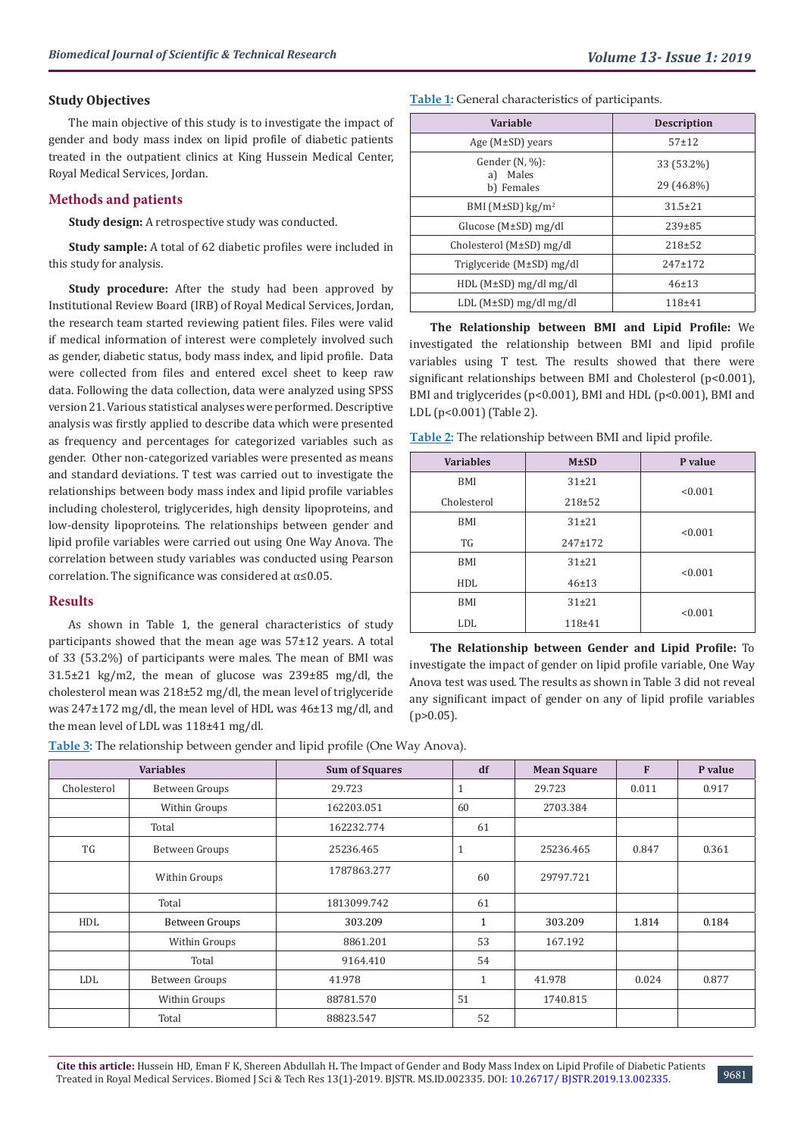#### **Study Objectives**

The main objective of this study is to investigate the impact of gender and body mass index on lipid profile of diabetic patients treated in the outpatient clinics at King Hussein Medical Center, Royal Medical Services, Jordan.

#### **Methods and patients**

**Study design:** A retrospective study was conducted.

**Study sample:** A total of 62 diabetic profiles were included in this study for analysis.

**Study procedure:** After the study had been approved by Institutional Review Board (IRB) of Royal Medical Services, Jordan, the research team started reviewing patient files. Files were valid if medical information of interest were completely involved such as gender, diabetic status, body mass index, and lipid profile. Data were collected from files and entered excel sheet to keep raw data. Following the data collection, data were analyzed using SPSS version 21. Various statistical analyses were performed. Descriptive analysis was firstly applied to describe data which were presented as frequency and percentages for categorized variables such as gender. Other non-categorized variables were presented as means and standard deviations. T test was carried out to investigate the relationships between body mass index and lipid profile variables including cholesterol, triglycerides, high density lipoproteins, and low-density lipoproteins. The relationships between gender and lipid profile variables were carried out using One Way Anova. The correlation between study variables was conducted using Pearson correlation. The significance was considered at  $\alpha \leq 0.05$ .

#### **Results**

As shown in Table 1, the general characteristics of study participants showed that the mean age was 57±12 years. A total of 33 (53.2%) of participants were males. The mean of BMI was 31.5±21 kg/m2, the mean of glucose was 239±85 mg/dl, the cholesterol mean was 218±52 mg/dl, the mean level of triglyceride was 247±172 mg/dl, the mean level of HDL was 46±13 mg/dl, and the mean level of LDL was 118±41 mg/dl.

**Table 1:** General characteristics of participants.

| Variable                            | <b>Description</b> |  |  |
|-------------------------------------|--------------------|--|--|
| Age $(M\pm SD)$ years               | $57 + 12$          |  |  |
| Gender $(N, %)$ :<br>Males<br>a)    | 33 (53.2%)         |  |  |
| b) Females                          | 29 (46.8%)         |  |  |
| BMI ( $M\pm SD$ ) kg/m <sup>2</sup> | $31.5 \pm 21$      |  |  |
| Glucose $(M\pm SD)$ mg/dl           | $239 \pm 85$       |  |  |
| Cholesterol (M±SD) mg/dl            | $218 + 52$         |  |  |
| Triglyceride (M±SD) mg/dl           | $247 + 172$        |  |  |
| $HDL$ (M $\pm$ SD) mg/dl mg/dl      | 46±13              |  |  |
| $LDL$ (M $\pm SD$ ) mg/dl mg/dl     | $118 + 41$         |  |  |

**The Relationship between BMI and Lipid Profile:** We investigated the relationship between BMI and lipid profile variables using T test. The results showed that there were significant relationships between BMI and Cholesterol (p<0.001), BMI and triglycerides (p<0.001), BMI and HDL (p<0.001), BMI and LDL (p<0.001) (Table 2).

**Table 2:** The relationship between BMI and lipid profile.

| <b>Variables</b> | $M \pm SD$  | P value |  |
|------------------|-------------|---------|--|
| BMI              | $31 + 21$   | < 0.001 |  |
| Cholesterol      | $218 + 52$  |         |  |
| <b>BMI</b>       | $31 + 21$   | < 0.001 |  |
| TG               | $247 + 172$ |         |  |
| <b>BMI</b>       | $31 + 21$   | < 0.001 |  |
| HDL              | $46 \pm 13$ |         |  |
| <b>BMI</b>       | $31 + 21$   | < 0.001 |  |
| LDL              | 118±41      |         |  |

**The Relationship between Gender and Lipid Profile:** To investigate the impact of gender on lipid profile variable, One Way Anova test was used. The results as shown in Table 3 did not reveal any significant impact of gender on any of lipid profile variables  $(p>0.05)$ .

**Table 3:** The relationship between gender and lipid profile (One Way Anova).

|             | <b>Variables</b> | <b>Sum of Squares</b> | df           | <b>Mean Square</b> | F     | P value |
|-------------|------------------|-----------------------|--------------|--------------------|-------|---------|
| Cholesterol | Between Groups   | 29.723                | T            | 29.723             | 0.011 | 0.917   |
|             | Within Groups    | 162203.051            | 60           | 2703.384           |       |         |
|             | Total            | 162232.774            | 61           |                    |       |         |
| TG          | Between Groups   | 25236.465             |              | 25236.465          | 0.847 | 0.361   |
|             | Within Groups    | 1787863.277           | 60           | 29797.721          |       |         |
|             | Total            | 1813099.742           | 61           |                    |       |         |
| HDL         | Between Groups   | 303.209               | $\mathbf{1}$ | 303.209            | 1.814 | 0.184   |
|             | Within Groups    | 8861.201              | 53           | 167.192            |       |         |
|             | Total            | 9164.410              | 54           |                    |       |         |
| LDL         | Between Groups   | 41.978                | $\mathbf{1}$ | 41.978             | 0.024 | 0.877   |
|             | Within Groups    | 88781.570             | 51           | 1740.815           |       |         |
|             | Total            | 88823.547             | 52           |                    |       |         |

9681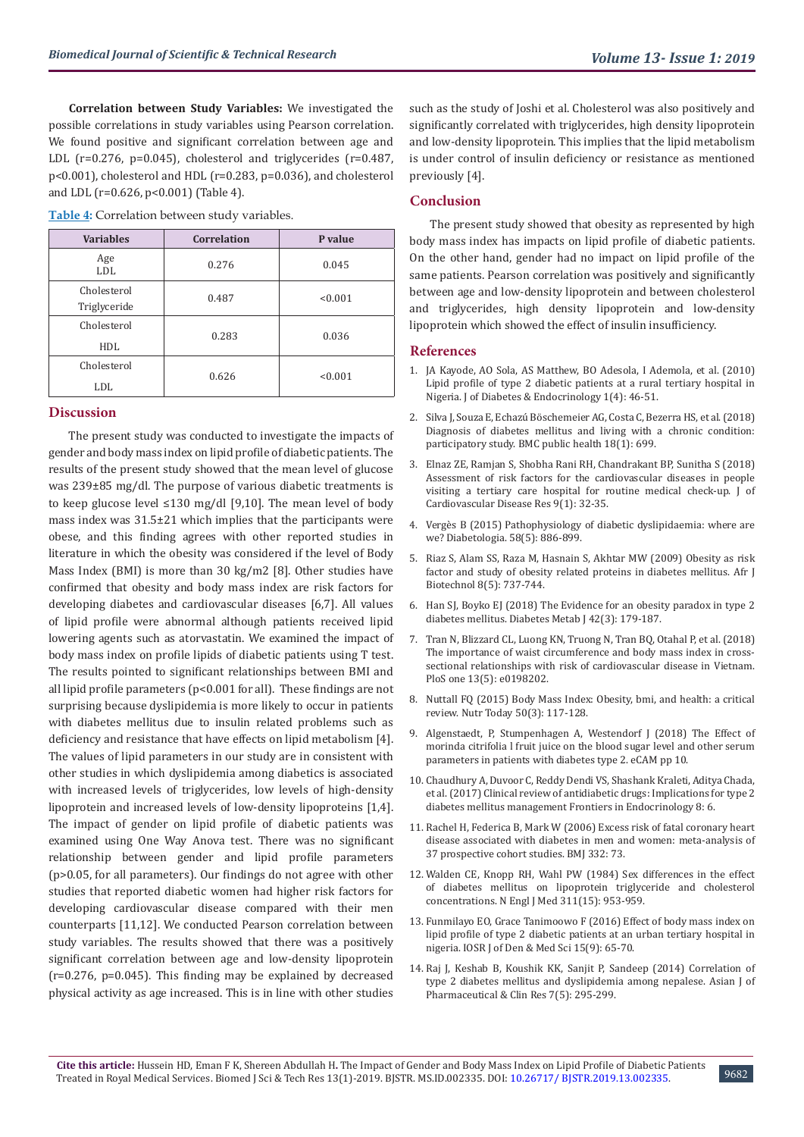**Correlation between Study Variables:** We investigated the possible correlations in study variables using Pearson correlation. We found positive and significant correlation between age and LDL (r=0.276, p=0.045), cholesterol and triglycerides (r=0.487, p<0.001), cholesterol and HDL (r=0.283, p=0.036), and cholesterol and LDL (r=0.626, p<0.001) (Table 4).

**Table 4:** Correlation between study variables.

| <b>Variables</b>            | <b>Correlation</b> | P value |
|-----------------------------|--------------------|---------|
| Age<br>LDL                  | 0.276              | 0.045   |
| Cholesterol<br>Triglyceride | 0.487              | < 0.001 |
| Cholesterol<br>HDL          | 0.283              | 0.036   |
| Cholesterol<br>LDL          | 0.626              | < 0.001 |

#### **Discussion**

The present study was conducted to investigate the impacts of gender and body mass index on lipid profile of diabetic patients. The results of the present study showed that the mean level of glucose was 239±85 mg/dl. The purpose of various diabetic treatments is to keep glucose level ≤130 mg/dl [9,10]. The mean level of body mass index was 31.5±21 which implies that the participants were obese, and this finding agrees with other reported studies in literature in which the obesity was considered if the level of Body Mass Index (BMI) is more than 30 kg/m2 [8]. Other studies have confirmed that obesity and body mass index are risk factors for developing diabetes and cardiovascular diseases [6,7]. All values of lipid profile were abnormal although patients received lipid lowering agents such as atorvastatin. We examined the impact of body mass index on profile lipids of diabetic patients using T test. The results pointed to significant relationships between BMI and all lipid profile parameters (p<0.001 for all). These findings are not surprising because dyslipidemia is more likely to occur in patients with diabetes mellitus due to insulin related problems such as deficiency and resistance that have effects on lipid metabolism [4]. The values of lipid parameters in our study are in consistent with other studies in which dyslipidemia among diabetics is associated with increased levels of triglycerides, low levels of high-density lipoprotein and increased levels of low-density lipoproteins [1,4]. The impact of gender on lipid profile of diabetic patients was examined using One Way Anova test. There was no significant relationship between gender and lipid profile parameters (p>0.05, for all parameters). Our findings do not agree with other studies that reported diabetic women had higher risk factors for developing cardiovascular disease compared with their men counterparts [11,12]. We conducted Pearson correlation between study variables. The results showed that there was a positively significant correlation between age and low-density lipoprotein (r=0.276, p=0.045). This finding may be explained by decreased physical activity as age increased. This is in line with other studies

such as the study of Joshi et al. Cholesterol was also positively and significantly correlated with triglycerides, high density lipoprotein and low-density lipoprotein. This implies that the lipid metabolism is under control of insulin deficiency or resistance as mentioned previously [4].

### **Conclusion**

The present study showed that obesity as represented by high body mass index has impacts on lipid profile of diabetic patients. On the other hand, gender had no impact on lipid profile of the same patients. Pearson correlation was positively and significantly between age and low-density lipoprotein and between cholesterol and triglycerides, high density lipoprotein and low-density lipoprotein which showed the effect of insulin insufficiency.

#### **References**

- 1. [JA Kayode, AO Sola, AS Matthew, BO Adesola, I Ademola, et al. \(2010\)](https://www.researchgate.net/publication/228491732_Lipid_profile_of_type_2_diabetic_patients_at_a_rural_tertiary_hospital_in_Nigeria) [Lipid profile of type 2 diabetic patients at a rural tertiary hospital in](https://www.researchgate.net/publication/228491732_Lipid_profile_of_type_2_diabetic_patients_at_a_rural_tertiary_hospital_in_Nigeria) [Nigeria. J of Diabetes & Endocrinology 1\(4\): 46-51.](https://www.researchgate.net/publication/228491732_Lipid_profile_of_type_2_diabetic_patients_at_a_rural_tertiary_hospital_in_Nigeria)
- 2. [Silva J, Souza E, Echazú Böschemeier AG, Costa C, Bezerra HS, et al. \(2018\)](https://www.ncbi.nlm.nih.gov/pubmed/29871637) [Diagnosis of diabetes mellitus and living with a chronic condition:](https://www.ncbi.nlm.nih.gov/pubmed/29871637) [participatory study. BMC public health 18\(1\): 699.](https://www.ncbi.nlm.nih.gov/pubmed/29871637)
- 3. [Elnaz ZE, Ramjan S, Shobha Rani RH, Chandrakant BP, Sunitha S \(2018\)](https://www.jcdronline.org/article/2018/9/1/105530jcdr201818) [Assessment of risk factors for the cardiovascular diseases in people](https://www.jcdronline.org/article/2018/9/1/105530jcdr201818) [visiting a tertiary care hospital for routine medical check-up. J of](https://www.jcdronline.org/article/2018/9/1/105530jcdr201818) [Cardiovascular Disease Res 9\(1\): 32-35.](https://www.jcdronline.org/article/2018/9/1/105530jcdr201818)
- 4. [Vergès B \(2015\) Pathophysiology of diabetic dyslipidaemia: where are](https://www.ncbi.nlm.nih.gov/pmc/articles/PMC4392164/) [we? Diabetologia. 58\(5\): 886-899.](https://www.ncbi.nlm.nih.gov/pmc/articles/PMC4392164/)
- 5. [Riaz S, Alam SS, Raza M, Hasnain S, Akhtar MW \(2009\) Obesity as risk](https://www.ajol.info/index.php/ajb/article/view/59939) [factor and study of obesity related proteins in diabetes mellitus. Afr J](https://www.ajol.info/index.php/ajb/article/view/59939) [Biotechnol 8\(5\): 737-744.](https://www.ajol.info/index.php/ajb/article/view/59939)
- 6. [Han SJ, Boyko EJ \(2018\) The Evidence for an obesity paradox in type 2](https://www.ncbi.nlm.nih.gov/pubmed/29885111) [diabetes mellitus. Diabetes Metab J 42\(3\): 179-187.](https://www.ncbi.nlm.nih.gov/pubmed/29885111)
- 7. [Tran N, Blizzard CL, Luong KN, Truong N, Tran BQ, Otahal P, et al. \(2018\)](https://www.ncbi.nlm.nih.gov/pubmed/29813112) [The importance of waist circumference and body mass index in cross](https://www.ncbi.nlm.nih.gov/pubmed/29813112)[sectional relationships with risk of cardiovascular disease in Vietnam.](https://www.ncbi.nlm.nih.gov/pubmed/29813112) [PloS one 13\(5\): e0198202.](https://www.ncbi.nlm.nih.gov/pubmed/29813112)
- 8. [Nuttall FQ \(2015\) Body Mass Index: Obesity, bmi, and health: a critical](https://www.ncbi.nlm.nih.gov/pubmed/27340299) [review. Nutr Today 50\(3\): 117-128.](https://www.ncbi.nlm.nih.gov/pubmed/27340299)
- 9. [Algenstaedt, P, Stumpenhagen A, Westendorf J \(2018\) The Effect of](https://www.hindawi.com/journals/ecam/2018/3565427/) [morinda citrifolia l fruit juice on the blood sugar level and other serum](https://www.hindawi.com/journals/ecam/2018/3565427/) [parameters in patients with diabetes type 2. eCAM pp 10.](https://www.hindawi.com/journals/ecam/2018/3565427/)
- 10. [Chaudhury A, Duvoor C, Reddy Dendi VS, Shashank Kraleti, Aditya Chada,](https://www.ncbi.nlm.nih.gov/pmc/articles/PMC5256065/) [et al. \(2017\) Clinical review of antidiabetic drugs: Implications for type 2](https://www.ncbi.nlm.nih.gov/pmc/articles/PMC5256065/) [diabetes mellitus management Frontiers in Endocrinology 8: 6.](https://www.ncbi.nlm.nih.gov/pmc/articles/PMC5256065/)
- 11. [Rachel H, Federica B, Mark W \(2006\) Excess risk of fatal coronary heart](https://www.bmj.com/content/332/7533/73) [disease associated with diabetes in men and women: meta-analysis of](https://www.bmj.com/content/332/7533/73) [37 prospective cohort studies. BMJ 332: 73.](https://www.bmj.com/content/332/7533/73)
- 12. [Walden CE, Knopp RH, Wahl PW \(1984\) Sex differences in the effect](https://www.ncbi.nlm.nih.gov/pubmed/6472421) [of diabetes mellitus on lipoprotein triglyceride and cholesterol](https://www.ncbi.nlm.nih.gov/pubmed/6472421) [concentrations. N Engl J Med 311\(15\): 953-959.](https://www.ncbi.nlm.nih.gov/pubmed/6472421)
- 13. [Funmilayo EO, Grace Tanimoowo F \(2016\) Effect of body mass index on](https://pdfs.semanticscholar.org/299a/4ec6513e051f41c1efa97a31736f6af2a6e0.pdf) [lipid profile of type 2 diabetic patients at an urban tertiary hospital in](https://pdfs.semanticscholar.org/299a/4ec6513e051f41c1efa97a31736f6af2a6e0.pdf) [nigeria. IOSR J of Den & Med Sci 15\(9\): 65-70.](https://pdfs.semanticscholar.org/299a/4ec6513e051f41c1efa97a31736f6af2a6e0.pdf)
- 14. [Raj J, Keshab B, Koushik KK, Sanjit P, Sandeep \(2014\) Correlation of](https://www.researchgate.net/publication/278032912_Correlation_of_type_2_diabetes_mellitus_and_dyslipidemia_among_nepalese) [type 2 diabetes mellitus and dyslipidemia among nepalese. Asian J of](https://www.researchgate.net/publication/278032912_Correlation_of_type_2_diabetes_mellitus_and_dyslipidemia_among_nepalese) [Pharmaceutical & Clin Res 7\(5\): 295-299.](https://www.researchgate.net/publication/278032912_Correlation_of_type_2_diabetes_mellitus_and_dyslipidemia_among_nepalese)